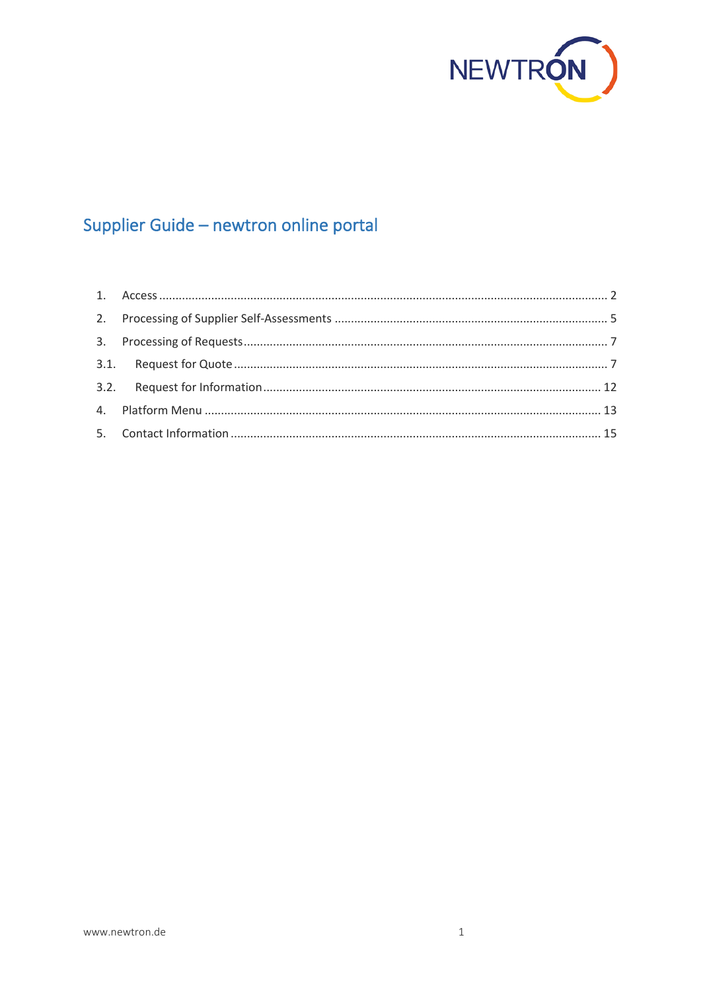

# Supplier Guide - newtron online portal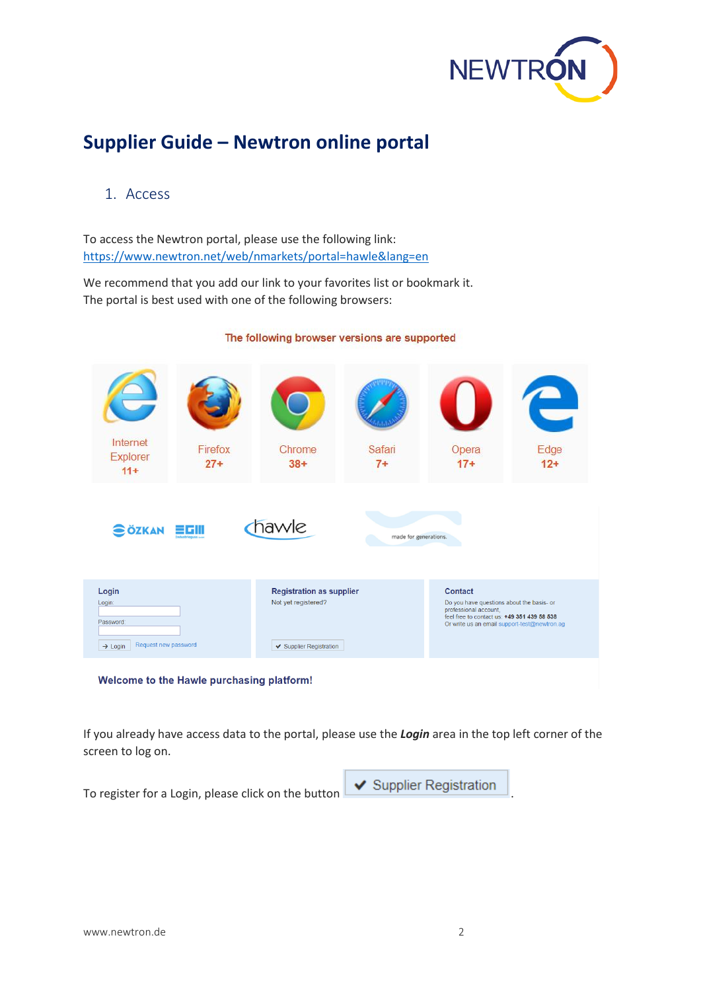

# **Supplier Guide – Newtron online portal**

### <span id="page-1-0"></span>1. Access

To access the Newtron portal, please use the following link: <https://www.newtron.net/web/nmarkets/portal=hawle&lang=en>

We recommend that you add our link to your favorites list or bookmark it. The portal is best used with one of the following browsers:

### The following browser versions are supported



If you already have access data to the portal, please use the *Login* area in the top left corner of the screen to log on.

To register for a Login, please click on the button  $\Box$  Supplier Registration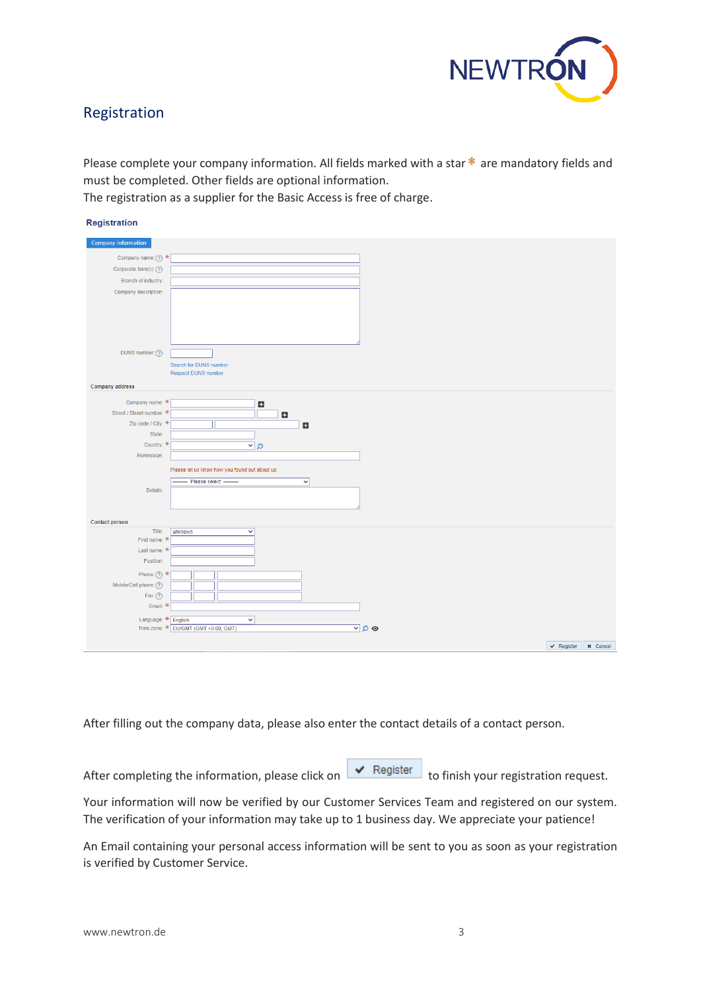

### Registration

Please complete your company information. All fields marked with a star  $*$  are mandatory fields and must be completed. Other fields are optional information.

The registration as a supplier for the Basic Access is free of charge.

| <b>Registration</b>                                       |                       |  |
|-----------------------------------------------------------|-----------------------|--|
| Company information                                       |                       |  |
| Company name: $\textcircled{?}$ *                         |                       |  |
| Corporate form(s): (?)                                    |                       |  |
| Branch of industry:                                       |                       |  |
| Company description:                                      |                       |  |
| DUNS number: (?)<br>Search for DUNS number                |                       |  |
| <b>Request DUNS number</b>                                |                       |  |
| <b>Company address</b>                                    |                       |  |
|                                                           |                       |  |
| Company name: *<br>$\ddot{}$<br>Street / Street number: * |                       |  |
| $\overline{f}$<br>Zip code / City: *<br>$\overline{a}$    |                       |  |
| State:                                                    |                       |  |
| Country: *<br>$Q(\underline{v})$                          |                       |  |
| Homepage:                                                 |                       |  |
| Please let us know how you found out about us:            |                       |  |
| Please select<br>$\checkmark$                             |                       |  |
| Details:                                                  |                       |  |
|                                                           |                       |  |
|                                                           |                       |  |
| <b>Contact person</b>                                     |                       |  |
| Title:<br>unknown<br>$\checkmark$<br>First name: *        |                       |  |
| Last name: $*$                                            |                       |  |
| Position:                                                 |                       |  |
| Phone: $\binom{2}{2}$ *                                   |                       |  |
| Mobile/Cell phone: (?)                                    |                       |  |
| $Fax$ $@$                                                 |                       |  |
| Email: $*$                                                |                       |  |
| Language: * English<br>$\checkmark$                       |                       |  |
| Time zone: * Etc/GMT (GMT +0:00; GMT)<br>$\vee$ 0 $\odot$ |                       |  |
|                                                           | V Register   X Cancel |  |

After filling out the company data, please also enter the contact details of a contact person.

After completing the information, please click on  $\overline{\bullet}$  Register to finish your registration request.

Your information will now be verified by our Customer Services Team and registered on our system. The verification of your information may take up to 1 business day. We appreciate your patience!

An Email containing your personal access information will be sent to you as soon as your registration is verified by Customer Service.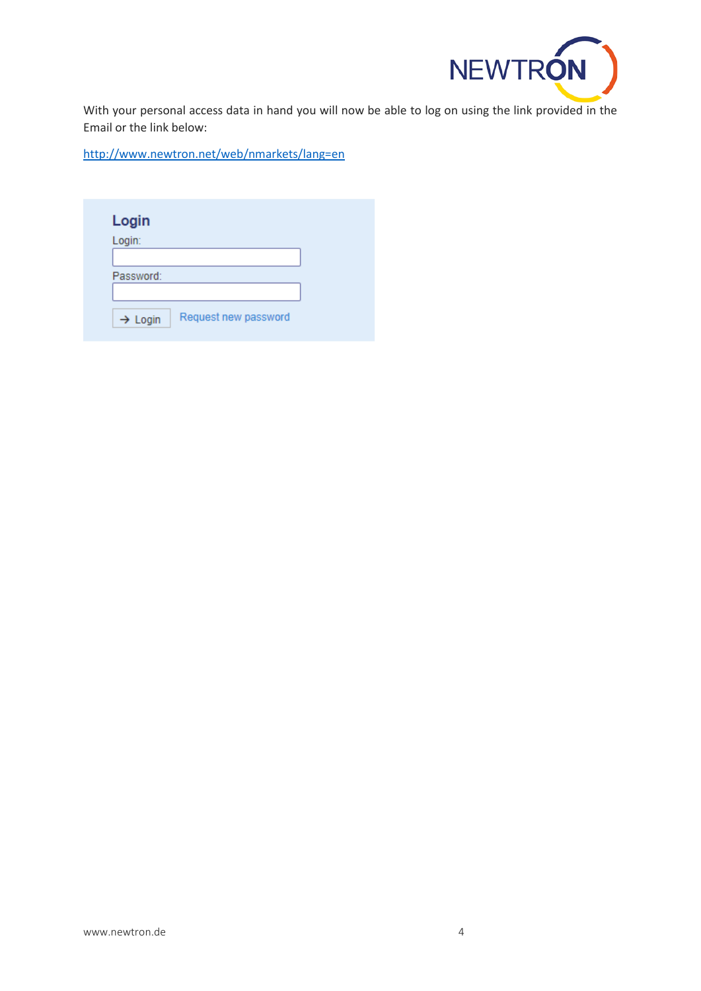

With your personal access data in hand you will now be able to log on using the link provided in the Email or the link below:

<http://www.newtron.net/web/nmarkets/lang=en>

| Login               |                      |  |
|---------------------|----------------------|--|
| Login:              |                      |  |
|                     |                      |  |
| Password:           |                      |  |
|                     |                      |  |
| $\rightarrow$ Login | Request new password |  |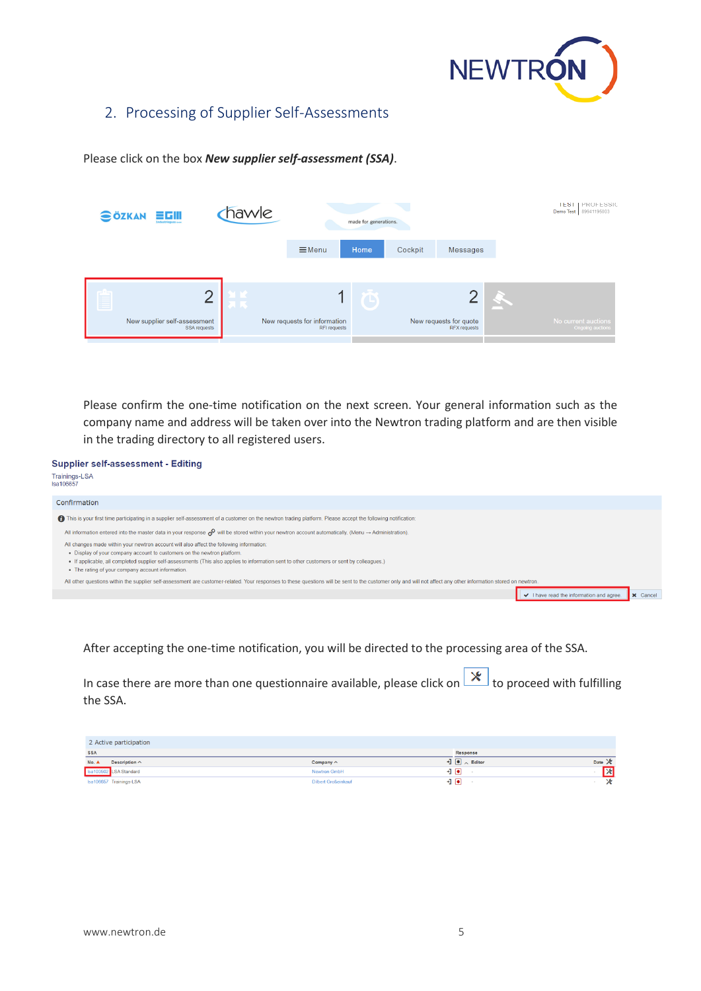

I v I have read the information and agree.

### <span id="page-4-0"></span>2. Processing of Supplier Self-Assessments

Please click on the box *New supplier self-assessment (SSA)*.

|   | scili<br><b>SÖZKAN</b><br><b>Industrieques</b> | hawle  | made for generations.                        |      |         | <b>IEST   PROFESSIC</b><br>Demo Test 89941195003 |  |                                         |
|---|------------------------------------------------|--------|----------------------------------------------|------|---------|--------------------------------------------------|--|-----------------------------------------|
|   |                                                |        | $\equiv$ Menu                                | Home | Cockpit | <b>Messages</b>                                  |  |                                         |
| E | r                                              | ا با ا |                                              |      |         |                                                  |  |                                         |
|   | New supplier self-assessment<br>SSA requests   |        | New requests for information<br>RFI requests |      |         | New requests for quote<br><b>RFX</b> requests    |  | No current auctions<br>Ongoing auctions |

Please confirm the one-time notification on the next screen. Your general information such as the company name and address will be taken over into the Newtron trading platform and are then visible in the trading directory to all registered users.

**Supplier self-assessment - Editing** Trainings-LSA<br>Isa106657 Confirmation ← This is your first time participating in a supplier self-assessment of a customer on the newtron trading platform. Please accept the following notification: All information entered into the master data in your response  $\mathscr O$  will be stored within your newtron account automatically. (Menu  $\to$  Administration). All changes made within your newtron account will also affect the following information: . Display of your company account to customers on the newtron platform.

- . If applicable, all completed supplier self-assessments (This also applies to information sent to other customers or sent by colleagues.)
- The rating of your company account information.

All other questions within the supplier self-assessment are customer-related. Your responses to these questions will be sent to the customer only and will not affect any other information stored

After accepting the one-time notification, you will be directed to the processing area of the SSA.

In case there are more than one questionnaire available, please click on  $\mathbf{X}$  to proceed with fulfilling the SSA.

| 2 Active participation        |                            |                                 |                    |
|-------------------------------|----------------------------|---------------------------------|--------------------|
| <b>SSA</b>                    |                            | Response                        |                    |
| Description $\wedge$<br>No. A | Company $\wedge$           | $\exists$ $\Box$ $\land$ Editor | Date $\mathcal{X}$ |
| Isa103502 LSA Standard        | <b>Newtron GmbH</b>        | +1 l●l                          | 図                  |
| Isa106657 Trainings-LSA       | <b>Dilbert Großeinkauf</b> | ง⊌                              | ×                  |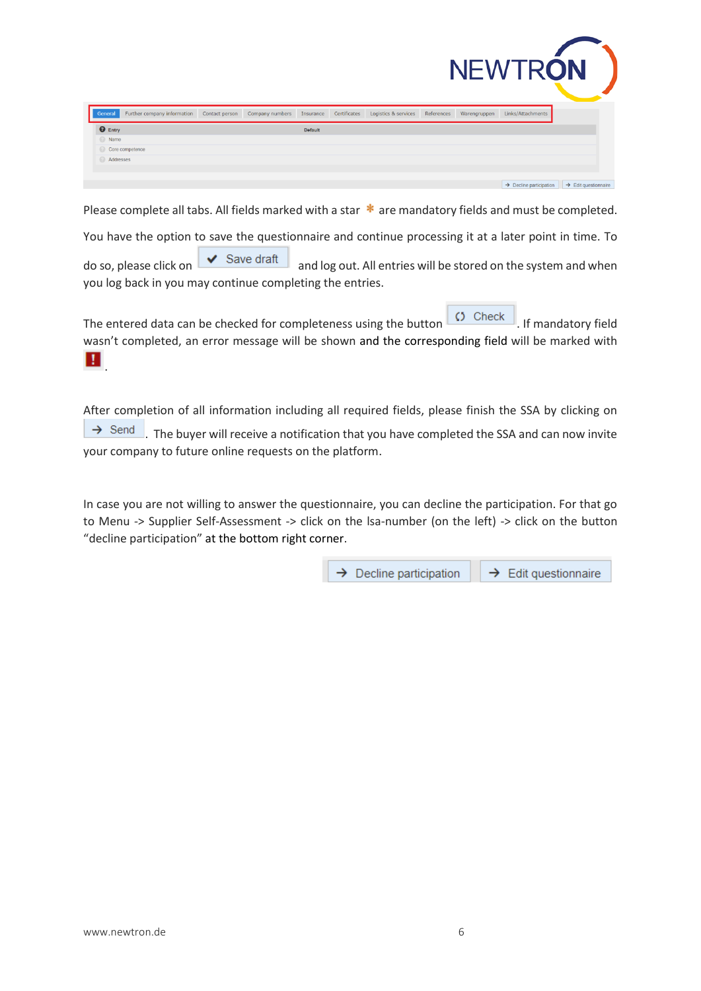|                 |                             |                |                 |           |              |                      |            |              | <b>NEWTRON</b>                      |                                  |
|-----------------|-----------------------------|----------------|-----------------|-----------|--------------|----------------------|------------|--------------|-------------------------------------|----------------------------------|
| General         | Further company information | Contact person | Company numbers | Insurance | Certificates | Logistics & services | References | Warengruppen | Links/Attachments                   |                                  |
| $\bullet$ Entry |                             |                |                 | Default   |              |                      |            |              |                                     |                                  |
| Name            |                             |                |                 |           |              |                      |            |              |                                     |                                  |
| Core competence |                             |                |                 |           |              |                      |            |              |                                     |                                  |
| Addresses       |                             |                |                 |           |              |                      |            |              |                                     |                                  |
|                 |                             |                |                 |           |              |                      |            |              |                                     |                                  |
|                 |                             |                |                 |           |              |                      |            |              | $\rightarrow$ Decline participation | $\rightarrow$ Edit questionnaire |

Please complete all tabs. All fields marked with a star  $*$  are mandatory fields and must be completed.

You have the option to save the questionnaire and continue processing it at a later point in time. To

do so, please click on  $\overline{\bigvee}$  Save draft and log out. All entries will be stored on the system and when you log back in you may continue completing the entries.

The entered data can be checked for completeness using the button  $\overline{C}$  Check . If mandatory field wasn't completed, an error message will be shown and the corresponding field will be marked with **.** 

After completion of all information including all required fields, please finish the SSA by clicking on  $\rightarrow$  Send . The buyer will receive a notification that you have completed the SSA and can now invite your company to future online requests on the platform.

In case you are not willing to answer the questionnaire, you can decline the participation. For that go to Menu -> Supplier Self-Assessment -> click on the lsa-number (on the left) -> click on the button "decline participation" at the bottom right corner.

> $\rightarrow$  Decline participation  $\rightarrow$  Edit questionnaire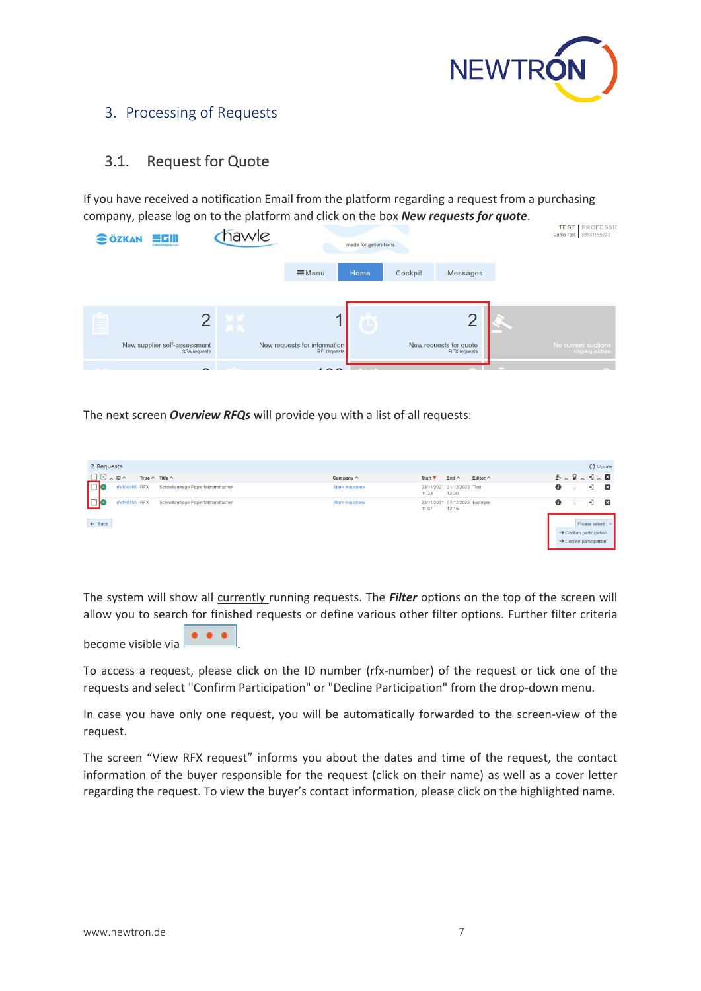

### <span id="page-6-0"></span>3. Processing of Requests

### <span id="page-6-1"></span>3.1. Request for Quote

If you have received a notification Email from the platform regarding a request from a purchasing company, please log on to the platform and click on the box *New requests for quote*.

| <b>SÖZKAN</b><br>言巧用<br>Industrieques com    | hawle | made for generations.                        |      |         | <b>TEST</b><br>PROFESSIC<br>Demo Test 89941195003 |  |                                                |
|----------------------------------------------|-------|----------------------------------------------|------|---------|---------------------------------------------------|--|------------------------------------------------|
|                                              |       | $\equiv$ Menu                                | Home | Cockpit | Messages                                          |  |                                                |
|                                              |       |                                              |      |         |                                                   |  |                                                |
|                                              | مالك  |                                              |      |         | C                                                 |  |                                                |
| New supplier self-assessment<br>SSA requests |       | New requests for information<br>RFI requests |      |         | New requests for quote<br><b>RFX requests</b>     |  | No current auctions<br><b>Ongoing auctions</b> |
|                                              |       |                                              |      |         |                                                   |  |                                                |

The next screen *Overview RFQs* will provide you with a list of all requests:

| 2 Requests                                                        |                         |                                                                  | $\zeta$ Update                                                                                         |
|-------------------------------------------------------------------|-------------------------|------------------------------------------------------------------|--------------------------------------------------------------------------------------------------------|
| $\Box$ $\odot$ $\land$ ID $\land$<br>Type $\wedge$ Title $\wedge$ | Company $\wedge$        | End $\wedge$<br>Editor $\wedge$<br>Start $\overline{\mathbf{v}}$ | 冬人留人可人因                                                                                                |
| rfx190156 RFX<br>Schnellanfrage Papierfalthandtücher<br>- 110     | <b>Stark Industries</b> | 23/11/2021 21/12/2023 Test<br>12:30<br>11:23                     | ❶<br>÷J.<br>$\vert x \vert$                                                                            |
| l⊡c<br>rfx190155 RFX<br>Schnellanfrage Papierfalthandtücher       | <b>Stark Industries</b> | 23/11/2021 07/12/2022 Example<br>11:07<br>12:15                  | €<br>٠I<br>$ \mathbf{x} $                                                                              |
| $\leftarrow$ Back                                                 |                         |                                                                  | Please select $  \vee  $<br>$\rightarrow$ Confirm participation<br>$\rightarrow$ Decline participation |

The system will show all currently running requests. The *Filter* options on the top of the screen will allow you to search for finished requests or define various other filter options. Further filter criteria

become visible via .

To access a request, please click on the ID number (rfx-number) of the request or tick one of the requests and select "Confirm Participation" or "Decline Participation" from the drop-down menu.

In case you have only one request, you will be automatically forwarded to the screen-view of the request.

The screen "View RFX request" informs you about the dates and time of the request, the contact information of the buyer responsible for the request (click on their name) as well as a cover letter regarding the request. To view the buyer's contact information, please click on the highlighted name.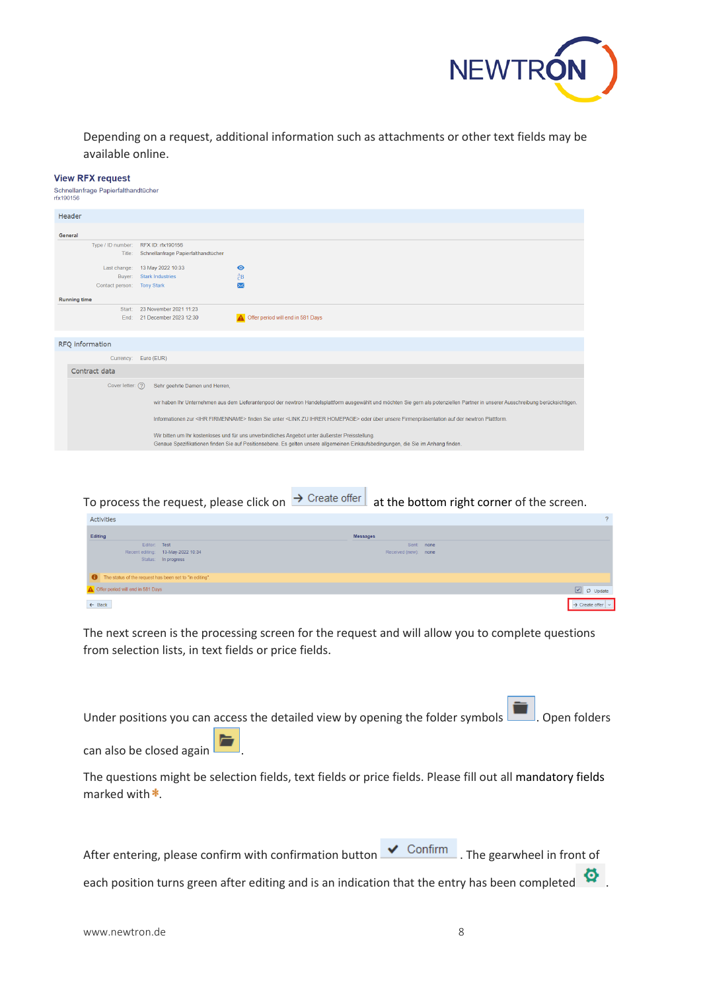

Depending on a request, additional information such as attachments or other text fields may be available online.

#### **View RFX request**

Schnellanfrage Papierfalthandtücher rfx190156

| Header                                              |                                                                                                                                                                                                                                       |
|-----------------------------------------------------|---------------------------------------------------------------------------------------------------------------------------------------------------------------------------------------------------------------------------------------|
|                                                     |                                                                                                                                                                                                                                       |
| General                                             |                                                                                                                                                                                                                                       |
| RFX ID: rfx190156<br>Type / ID number:              |                                                                                                                                                                                                                                       |
| Schnellanfrage Papierfalthandtücher<br>Title:       |                                                                                                                                                                                                                                       |
| 13 May 2022 10:33<br>Last change:<br>◉              |                                                                                                                                                                                                                                       |
| $\partial B$<br>Buyer: Stark Industries             |                                                                                                                                                                                                                                       |
| Contact person: Tony Stark<br>$\overline{\times}$   |                                                                                                                                                                                                                                       |
| <b>Running time</b>                                 |                                                                                                                                                                                                                                       |
| 23 November 2021 11:23<br>Start:                    |                                                                                                                                                                                                                                       |
| 21 December 2023 12:30<br>End:                      | Offer period will end in 581 Days                                                                                                                                                                                                     |
|                                                     |                                                                                                                                                                                                                                       |
|                                                     |                                                                                                                                                                                                                                       |
| RFQ information                                     |                                                                                                                                                                                                                                       |
| Currency: Euro (EUR)                                |                                                                                                                                                                                                                                       |
| Contract data                                       |                                                                                                                                                                                                                                       |
| Cover letter: (?)<br>Sehr geehrte Damen und Herren, |                                                                                                                                                                                                                                       |
|                                                     |                                                                                                                                                                                                                                       |
|                                                     | wir haben Ihr Unternehmen aus dem Lieferantenpool der newtron Handelsplattform ausgewählt und möchten Sie gern als potenziellen Partner in unserer Ausschreibung berücksichtigen.                                                     |
|                                                     | Informationen zur <ihr firmenname=""> finden Sie unter <link homepage="" ihrer="" zu=""/> oder über unsere Firmenpräsentation auf der newtron Plattform.</ihr>                                                                        |
|                                                     | Wir bitten um Ihr kostenloses und für uns unverbindliches Angebot unter äußerster Preisstellung.<br>Genaue Spezifikationen finden Sie auf Positionsebene. Es gelten unsere allgemeinen Einkaufsbedingungen, die Sie im Anhang finden. |
|                                                     |                                                                                                                                                                                                                                       |
|                                                     |                                                                                                                                                                                                                                       |

To process the request, please click on  $\rightarrow$  Create offer at the bottom right corner of the screen.

| Activities                                              |                                   |                 |                      |            |                            | $\mathcal{P}$ |
|---------------------------------------------------------|-----------------------------------|-----------------|----------------------|------------|----------------------------|---------------|
| Editing                                                 |                                   | <b>Messages</b> |                      |            |                            |               |
| Editor: Test                                            |                                   |                 |                      | Sent: none |                            |               |
|                                                         | Recent editing: 13-May-2022 10:34 |                 | Received (new): none |            |                            |               |
|                                                         | Status: In progress               |                 |                      |            |                            |               |
|                                                         |                                   |                 |                      |            |                            |               |
| The status of the request has been set to "in editing". |                                   |                 |                      |            |                            |               |
| Offer period will end in 581 Days                       |                                   |                 |                      |            | $\boxed{\cup}$ O Update    |               |
| $\leftarrow$ Back                                       |                                   |                 |                      |            | $\rightarrow$ Create offer |               |

The next screen is the processing screen for the request and will allow you to complete questions from selection lists, in text fields or price fields.

Under positions you can access the detailed view by opening the folder symbols . Open folders

can also be closed again .

The questions might be selection fields, text fields or price fields. Please fill out all mandatory fields marked with  $*$ 

After entering, please confirm with confirmation button  $\bigvee$  Confirm . The gearwheel in front of

each position turns green after editing and is an indication that the entry has been completed  $\bullet$ .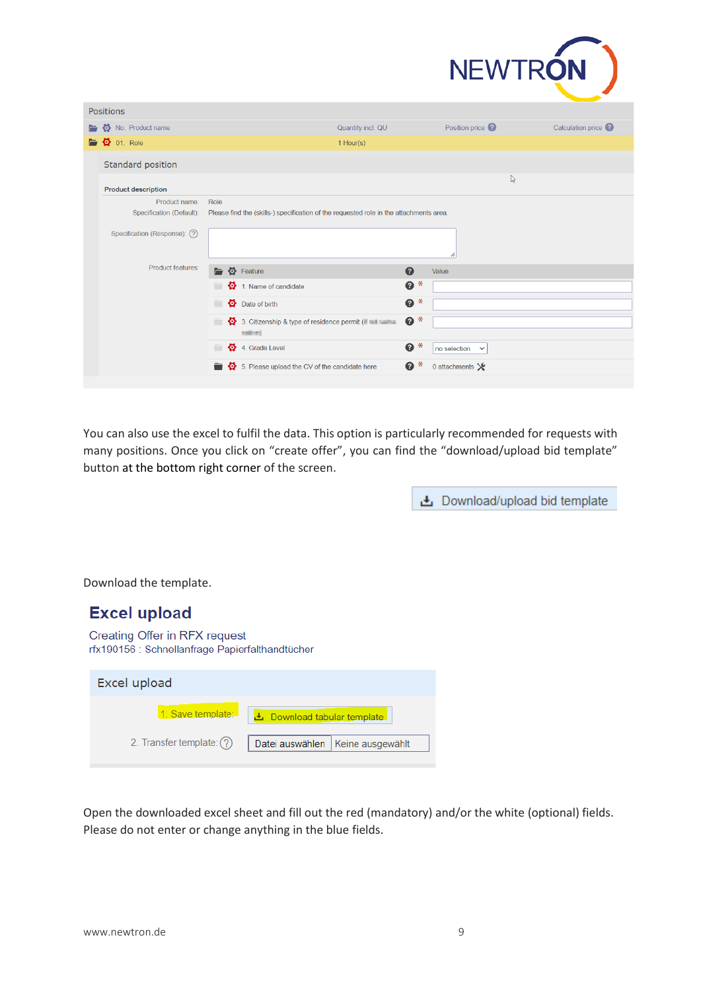

|   | <b>Positions</b>                    |                                                                                        |                   |                                 |                     |
|---|-------------------------------------|----------------------------------------------------------------------------------------|-------------------|---------------------------------|---------------------|
| E | No. Product name                    |                                                                                        | Quantity incl. QU | Position price <sup>?</sup>     | Calculation price ? |
|   | $\blacksquare$ $\clubsuit$ 01. Role | 1 Hour(s)                                                                              |                   |                                 |                     |
|   | Standard position                   |                                                                                        |                   |                                 |                     |
|   | <b>Product description</b>          |                                                                                        |                   |                                 | ß                   |
|   | Product name:                       | Role                                                                                   |                   |                                 |                     |
|   | Specification (Default):            | Please find the (skills-) specification of the requested role in the attachments area. |                   |                                 |                     |
|   | Specification (Response): (?)       |                                                                                        |                   | 71                              |                     |
|   | Product features:                   | $\bullet$ Feature<br>$\blacksquare$                                                    | <sup>◎</sup>      | Value                           |                     |
|   |                                     | $\bullet$ 1. Name of candidate                                                         | $\ast$<br>0       |                                 |                     |
|   |                                     | $\bullet$ Date of birth<br>$\equiv$                                                    | $\ast$<br>0       |                                 |                     |
|   |                                     | 3. Citizenship & type of residence permit ( Fig. 1994)<br>$\equiv$<br>sales of         | $\ast$<br>0       |                                 |                     |
|   |                                     | 4. Grade Level<br>$\equiv$                                                             | ⋇<br>ℯ            | no selection<br>$\checkmark$    |                     |
|   |                                     | 5. Please upload the CV of the candidate here                                          | Ø<br>⋇            | 0 attachments $\mathbf{\times}$ |                     |
|   |                                     |                                                                                        |                   |                                 |                     |

You can also use the excel to fulfil the data. This option is particularly recommended for requests with many positions. Once you click on "create offer", you can find the "download/upload bid template" button at the bottom right corner of the screen.

上 Download/upload bid template

Download the template.

| <b>Excel upload</b>                                                              |                                     |
|----------------------------------------------------------------------------------|-------------------------------------|
| Creating Offer in RFX request<br>rfx190156 : Schnellanfrage Papierfalthandtücher |                                     |
| Excel upload                                                                     |                                     |
| 1. Save template:                                                                | 上 Download tabular template         |
| 2. Transfer template: (?)                                                        | Keine ausgewählt<br>Datei auswählen |

Open the downloaded excel sheet and fill out the red (mandatory) and/or the white (optional) fields. Please do not enter or change anything in the blue fields.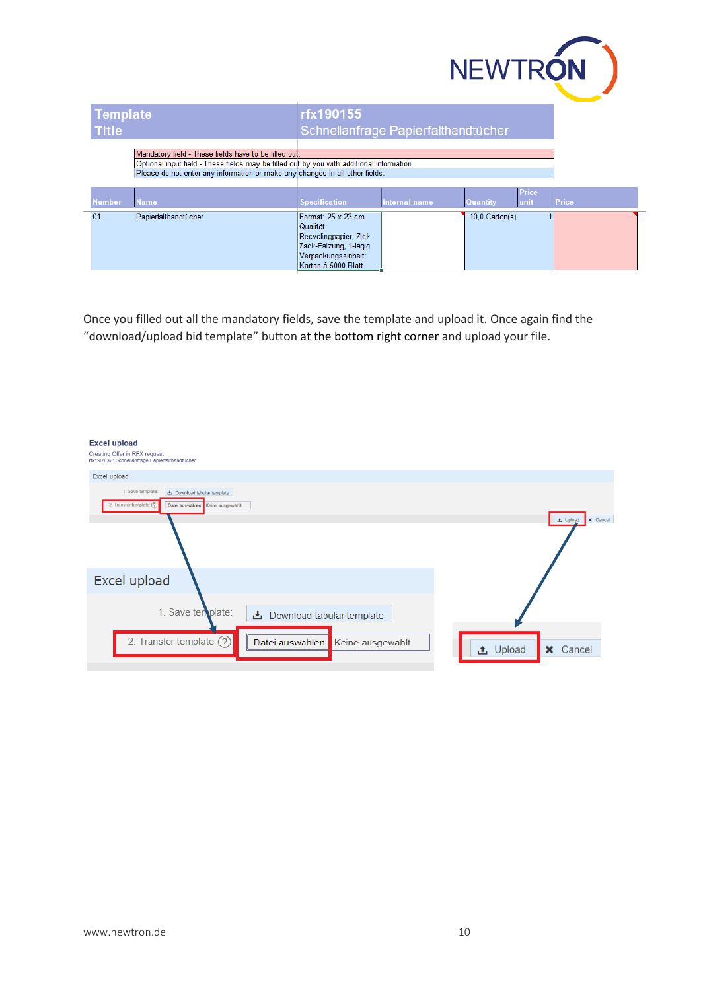

| <b>Template</b><br><b>Title</b> |                                                                                                                                                                                                                                    | rfx190155<br>Schnellanfrage Papierfalthandtücher                                                                                 |               |                 |                      |       |
|---------------------------------|------------------------------------------------------------------------------------------------------------------------------------------------------------------------------------------------------------------------------------|----------------------------------------------------------------------------------------------------------------------------------|---------------|-----------------|----------------------|-------|
|                                 | Mandatory field - These fields have to be filled out.<br>Optional input field - These fields may be filled out by you with additional information.<br>Please do not enter any information or make any changes in all other fields. |                                                                                                                                  |               |                 |                      |       |
| <b>Number</b>                   | <b>Name</b>                                                                                                                                                                                                                        | <b>Specification</b>                                                                                                             | Internal name | <b>Quantity</b> | <b>Price</b><br>unit | Price |
| 01.                             | Papierfalthandtücher                                                                                                                                                                                                               | Format: 25 x 23 cm<br>Qualität:<br>Recyclingpapier, Zick-<br>Zack-Falzung, 1-lagig<br>Verpackungseinheit:<br>Karton à 5000 Blatt |               | 10.0 Carton(s)  |                      |       |

Once you filled out all the mandatory fields, save the template and upload it. Once again find the "download/upload bid template" button at the bottom right corner and upload your file.

| <b>Excel upload</b>                                                                     |                                    |
|-----------------------------------------------------------------------------------------|------------------------------------|
| <b>Creating Offer in RFX request</b><br>rfx190156 : Schnellanfrage Papierfalthandtücher |                                    |
| Excel upload                                                                            |                                    |
| 1. Save template:<br>と Download tabular template                                        |                                    |
| 2. Transfer template: (?)<br>Datei auswählen<br>Keine ausgewählt                        |                                    |
|                                                                                         | <b>x</b> Cancel<br><b>上</b> Upload |
|                                                                                         |                                    |
| Excel upload                                                                            |                                    |
| 1. Save ten plate:<br>上 Download tabular template                                       |                                    |
| 2. Transfer template: (?)<br>Datei auswählen<br>Keine ausgewählt                        | <b>上</b> Upload<br><b>x</b> Cancel |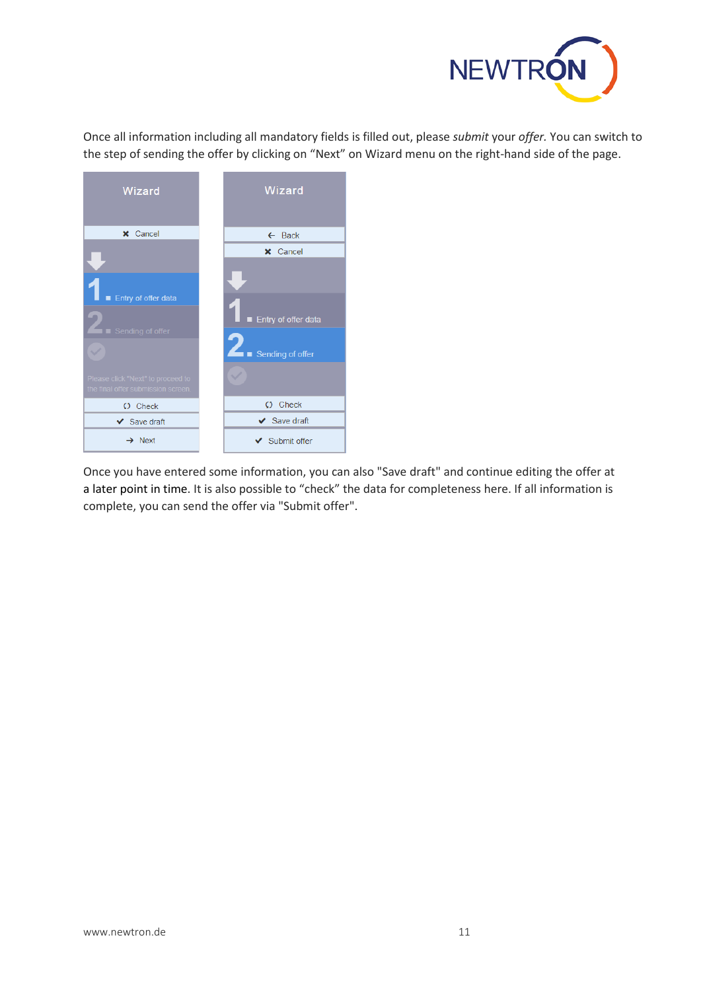

Once all information including all mandatory fields is filled out, please *submit* your *offer.* You can switch to the step of sending the offer by clicking on "Next" on Wizard menu on the right-hand side of the page.



Once you have entered some information, you can also "Save draft" and continue editing the offer at a later point in time. It is also possible to "check" the data for completeness here. If all information is complete, you can send the offer via "Submit offer".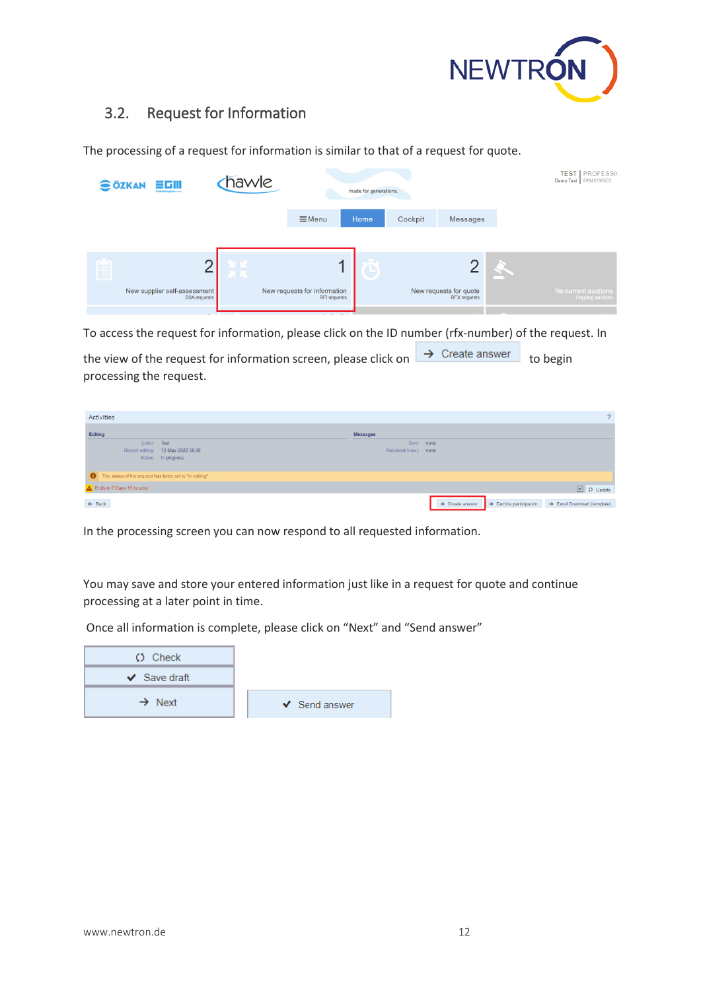

## <span id="page-11-0"></span>3.2. Request for Information

| hawle<br><b>SÖZKAN</b><br>言巧用<br>made for generations.<br>Industrieques sun                  | Demo Test 89941195003                                                                    |
|----------------------------------------------------------------------------------------------|------------------------------------------------------------------------------------------|
| $\equiv$ Menu<br>Home<br>Cockpit                                                             | <b>Messages</b>                                                                          |
|                                                                                              |                                                                                          |
| Ė<br>r<br>ПR.                                                                                |                                                                                          |
| New supplier self-assessment<br>New requests for information<br>SSA requests<br>RFI requests | New requests for quote<br>No current auctions<br><b>RFX</b> requests<br>Ongoing auctions |

The processing of a request for information is similar to that of a request for quote.

To access the request for information, please click on the ID number (rfx-number) of the request. In

the view of the request for information screen, please click on  $\rightarrow$  Create answer to begin processing the request.

| Activities                                                               | $\sqrt{2}$                                                                                                    |
|--------------------------------------------------------------------------|---------------------------------------------------------------------------------------------------------------|
| Editing                                                                  | <b>Messages</b>                                                                                               |
| Editor: Test<br>Recent editing: 12-May-2022 08:36<br>Status: In progress | Sent: none<br>Received (new): none                                                                            |
| The status of the request has been set to "in editing".                  |                                                                                                               |
| Ends in 7 Days 15 hour(s)                                                | $\boxed{\cup}$ $\boxed{\circ}$ Update                                                                         |
| $\leftarrow$ Back                                                        | $\rightarrow$ Create answer<br>$\rightarrow$ Decline participation<br>$\rightarrow$ Excel Download (template) |

In the processing screen you can now respond to all requested information.

You may save and store your entered information just like in a request for quote and continue processing at a later point in time.

Once all information is complete, please click on "Next" and "Send answer"

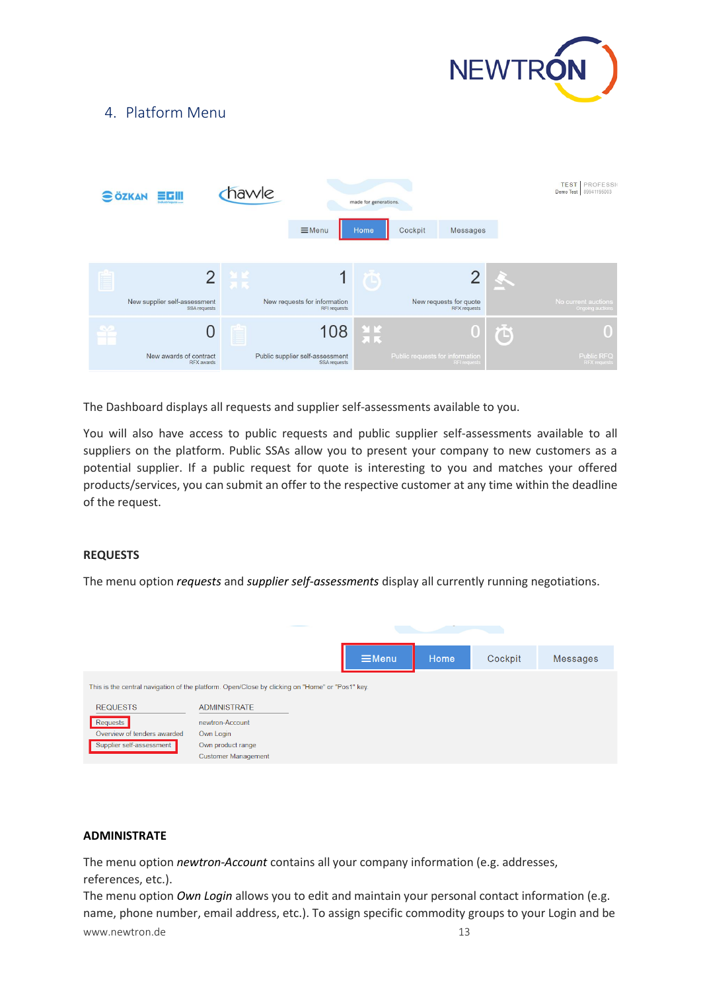

## <span id="page-12-0"></span>4. Platform Menu

| hawle<br><b>SÖZKAN</b><br>scili<br>Industrieouss um |                                              |            | made for generations.                           |                           |                                 |                                               | <b>TEST   PROFESSION</b><br>Demo Test 89941195003 |                                         |
|-----------------------------------------------------|----------------------------------------------|------------|-------------------------------------------------|---------------------------|---------------------------------|-----------------------------------------------|---------------------------------------------------|-----------------------------------------|
|                                                     |                                              |            | $\equiv$ Menu                                   | Home                      | Cockpit                         | Messages                                      |                                                   |                                         |
|                                                     |                                              | <b>ET.</b> |                                                 |                           |                                 | Ω                                             |                                                   |                                         |
|                                                     | New supplier self-assessment<br>SSA requests |            | New requests for information<br>RFI requests    |                           |                                 | New requests for quote<br><b>RFX</b> requests |                                                   | No current auctions<br>Ongoing auctions |
|                                                     | U                                            |            | 108                                             | $\frac{M}{2} \frac{K}{K}$ |                                 | 0                                             | $\ddot{\textbf{O}}$                               |                                         |
|                                                     | New awards of contract<br>RFX awards         |            | Public supplier self-assessment<br>SSA requests |                           | Public requests for information | RFI requests                                  |                                                   | Public RFQ<br><b>RFX requests</b>       |

The Dashboard displays all requests and supplier self-assessments available to you.

You will also have access to public requests and public supplier self-assessments available to all suppliers on the platform. Public SSAs allow you to present your company to new customers as a potential supplier. If a public request for quote is interesting to you and matches your offered products/services, you can submit an offer to the respective customer at any time within the deadline of the request.

### **REQUESTS**

The menu option *requests* and *supplier self-assessments* display all currently running negotiations.



### **ADMINISTRATE**

The menu option *newtron-Account* contains all your company information (e.g. addresses, references, etc.).

www.newtron.de 13 The menu option *Own Login* allows you to edit and maintain your personal contact information (e.g. name, phone number, email address, etc.). To assign specific commodity groups to your Login and be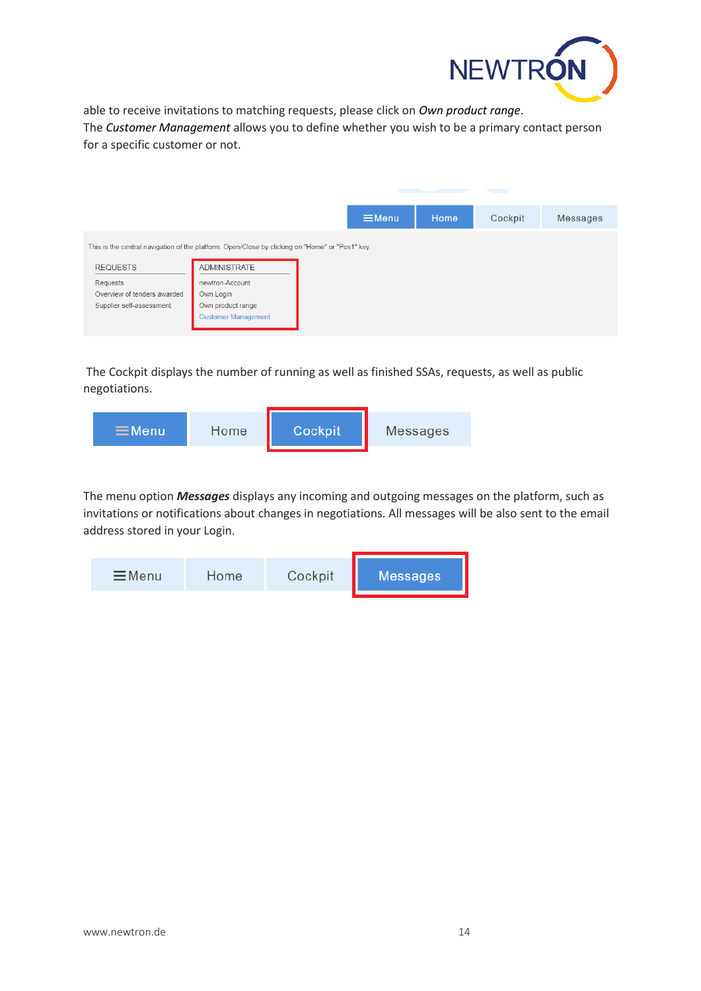

able to receive invitations to matching requests, please click on *Own product range*. The *Customer Management* allows you to define whether you wish to be a primary contact person for a specific customer or not.

|                                                                                                 |                            |  | $\equiv$ Menu | Home | Cockpit | <b>Messages</b> |  |
|-------------------------------------------------------------------------------------------------|----------------------------|--|---------------|------|---------|-----------------|--|
| This is the central navigation of the platform. Open/Close by clicking on "Home" or "Pos1" key. |                            |  |               |      |         |                 |  |
| <b>REQUESTS</b>                                                                                 | <b>ADMINISTRATE</b>        |  |               |      |         |                 |  |
| Requests                                                                                        | newtron-Account            |  |               |      |         |                 |  |
| Overview of tenders awarded                                                                     | Own Login                  |  |               |      |         |                 |  |
| Supplier self-assessment                                                                        | Own product range          |  |               |      |         |                 |  |
|                                                                                                 | <b>Customer Management</b> |  |               |      |         |                 |  |
|                                                                                                 |                            |  |               |      |         |                 |  |

The Cockpit displays the number of running as well as finished SSAs, requests, as well as public negotiations.



The menu option *Messages* displays any incoming and outgoing messages on the platform, such as invitations or notifications about changes in negotiations. All messages will be also sent to the email address stored in your Login.